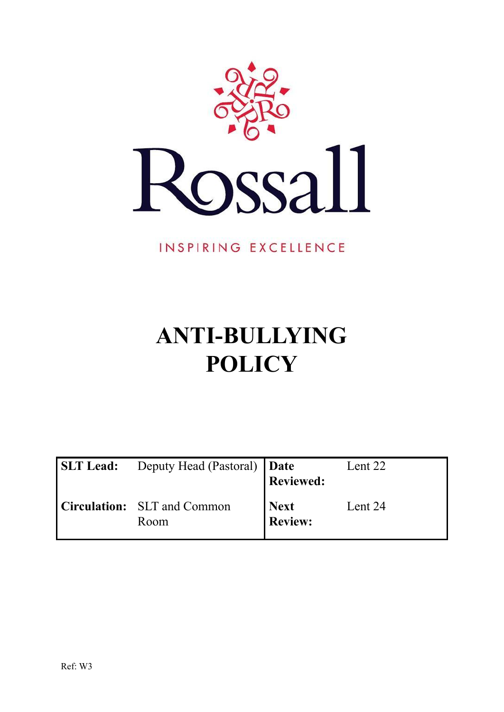

INSPIRING EXCELLENCE

# **ANTI-BULLYING POLICY**

| <b>SLT Lead:</b> | Deputy Head (Pastoral)   Date       | <b>Reviewed:</b>              | Lent 22 |
|------------------|-------------------------------------|-------------------------------|---------|
|                  | Circulation: SLT and Common<br>Room | <b>Next</b><br><b>Review:</b> | Lent 24 |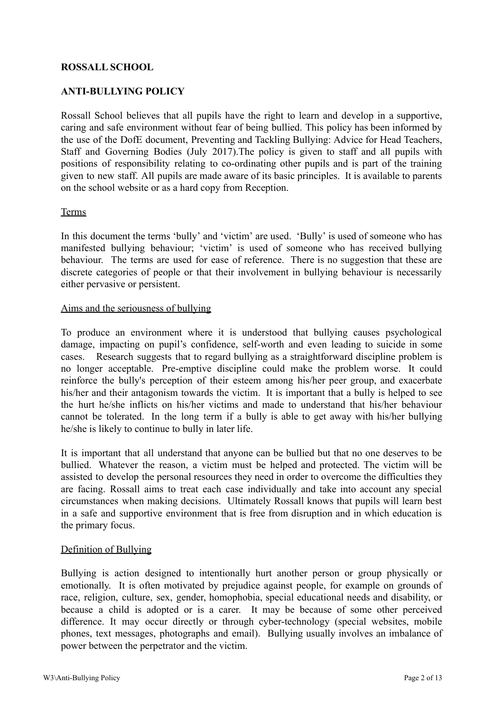# **ROSSALL SCHOOL**

# **ANTI-BULLYING POLICY**

Rossall School believes that all pupils have the right to learn and develop in a supportive, caring and safe environment without fear of being bullied. This policy has been informed by the use of the DofE document, Preventing and Tackling Bullying: Advice for Head Teachers, Staff and Governing Bodies (July 2017).The policy is given to staff and all pupils with positions of responsibility relating to co-ordinating other pupils and is part of the training given to new staff. All pupils are made aware of its basic principles. It is available to parents on the school website or as a hard copy from Reception.

#### Terms

In this document the terms 'bully' and 'victim' are used. 'Bully' is used of someone who has manifested bullying behaviour; 'victim' is used of someone who has received bullying behaviour. The terms are used for ease of reference. There is no suggestion that these are discrete categories of people or that their involvement in bullying behaviour is necessarily either pervasive or persistent.

### Aims and the seriousness of bullying

To produce an environment where it is understood that bullying causes psychological damage, impacting on pupil's confidence, self-worth and even leading to suicide in some cases. Research suggests that to regard bullying as a straightforward discipline problem is no longer acceptable. Pre-emptive discipline could make the problem worse. It could reinforce the bully's perception of their esteem among his/her peer group, and exacerbate his/her and their antagonism towards the victim. It is important that a bully is helped to see the hurt he/she inflicts on his/her victims and made to understand that his/her behaviour cannot be tolerated. In the long term if a bully is able to get away with his/her bullying he/she is likely to continue to bully in later life.

It is important that all understand that anyone can be bullied but that no one deserves to be bullied. Whatever the reason, a victim must be helped and protected. The victim will be assisted to develop the personal resources they need in order to overcome the difficulties they are facing. Rossall aims to treat each case individually and take into account any special circumstances when making decisions. Ultimately Rossall knows that pupils will learn best in a safe and supportive environment that is free from disruption and in which education is the primary focus.

### Definition of Bullying

Bullying is action designed to intentionally hurt another person or group physically or emotionally. It is often motivated by prejudice against people, for example on grounds of race, religion, culture, sex, gender, homophobia, special educational needs and disability, or because a child is adopted or is a carer. It may be because of some other perceived difference. It may occur directly or through cyber-technology (special websites, mobile phones, text messages, photographs and email). Bullying usually involves an imbalance of power between the perpetrator and the victim.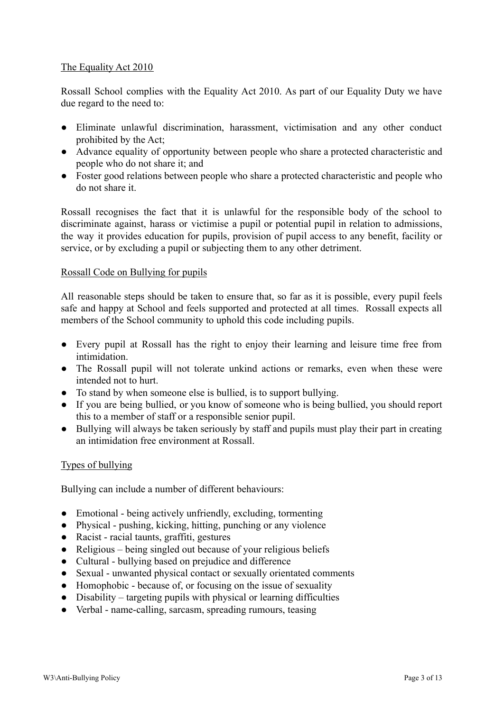# The Equality Act 2010

Rossall School complies with the Equality Act 2010. As part of our Equality Duty we have due regard to the need to:

- Eliminate unlawful discrimination, harassment, victimisation and any other conduct prohibited by the Act;
- Advance equality of opportunity between people who share a protected characteristic and people who do not share it; and
- Foster good relations between people who share a protected characteristic and people who do not share it.

Rossall recognises the fact that it is unlawful for the responsible body of the school to discriminate against, harass or victimise a pupil or potential pupil in relation to admissions, the way it provides education for pupils, provision of pupil access to any benefit, facility or service, or by excluding a pupil or subjecting them to any other detriment.

# Rossall Code on Bullying for pupils

All reasonable steps should be taken to ensure that, so far as it is possible, every pupil feels safe and happy at School and feels supported and protected at all times. Rossall expects all members of the School community to uphold this code including pupils.

- Every pupil at Rossall has the right to enjoy their learning and leisure time free from intimidation.
- The Rossall pupil will not tolerate unkind actions or remarks, even when these were intended not to hurt.
- To stand by when someone else is bullied, is to support bullying.
- If you are being bullied, or you know of someone who is being bullied, you should report this to a member of staff or a responsible senior pupil.
- Bullying will always be taken seriously by staff and pupils must play their part in creating an intimidation free environment at Rossall.

### Types of bullying

Bullying can include a number of different behaviours:

- Emotional being actively unfriendly, excluding, tormenting
- Physical pushing, kicking, hitting, punching or any violence
- Racist racial taunts, graffiti, gestures
- Religious being singled out because of your religious beliefs
- Cultural bullying based on prejudice and difference
- Sexual unwanted physical contact or sexually orientated comments
- Homophobic because of, or focusing on the issue of sexuality
- Disability targeting pupils with physical or learning difficulties
- Verbal name-calling, sarcasm, spreading rumours, teasing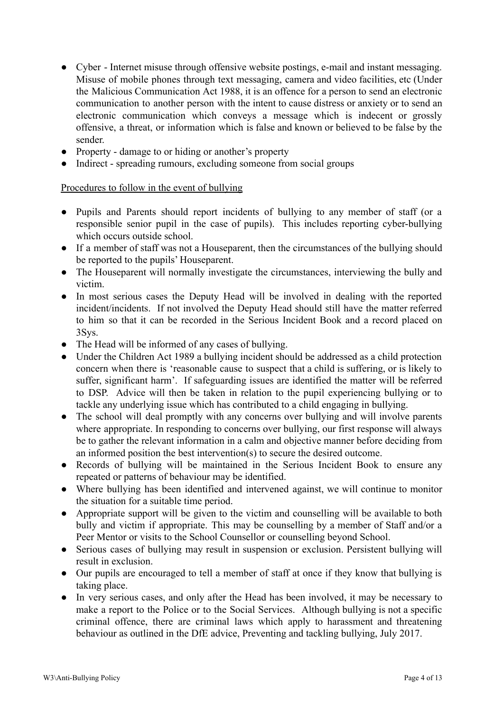- Cyber Internet misuse through offensive website postings, e-mail and instant messaging. Misuse of mobile phones through text messaging, camera and video facilities, etc (Under the Malicious Communication Act 1988, it is an offence for a person to send an electronic communication to another person with the intent to cause distress or anxiety or to send an electronic communication which conveys a message which is indecent or grossly offensive, a threat, or information which is false and known or believed to be false by the sender.
- Property damage to or hiding or another's property
- Indirect spreading rumours, excluding someone from social groups

# Procedures to follow in the event of bullying

- Pupils and Parents should report incidents of bullying to any member of staff (or a responsible senior pupil in the case of pupils). This includes reporting cyber-bullying which occurs outside school.
- If a member of staff was not a Houseparent, then the circumstances of the bullying should be reported to the pupils' Houseparent.
- The Houseparent will normally investigate the circumstances, interviewing the bully and victim.
- In most serious cases the Deputy Head will be involved in dealing with the reported incident/incidents. If not involved the Deputy Head should still have the matter referred to him so that it can be recorded in the Serious Incident Book and a record placed on 3Sys.
- The Head will be informed of any cases of bullying.
- Under the Children Act 1989 a bullying incident should be addressed as a child protection concern when there is 'reasonable cause to suspect that a child is suffering, or is likely to suffer, significant harm'. If safeguarding issues are identified the matter will be referred to DSP. Advice will then be taken in relation to the pupil experiencing bullying or to tackle any underlying issue which has contributed to a child engaging in bullying.
- The school will deal promptly with any concerns over bullying and will involve parents where appropriate. In responding to concerns over bullying, our first response will always be to gather the relevant information in a calm and objective manner before deciding from an informed position the best intervention(s) to secure the desired outcome.
- Records of bullying will be maintained in the Serious Incident Book to ensure any repeated or patterns of behaviour may be identified.
- Where bullying has been identified and intervened against, we will continue to monitor the situation for a suitable time period.
- Appropriate support will be given to the victim and counselling will be available to both bully and victim if appropriate. This may be counselling by a member of Staff and/or a Peer Mentor or visits to the School Counsellor or counselling beyond School.
- Serious cases of bullying may result in suspension or exclusion. Persistent bullying will result in exclusion.
- Our pupils are encouraged to tell a member of staff at once if they know that bullying is taking place.
- In very serious cases, and only after the Head has been involved, it may be necessary to make a report to the Police or to the Social Services. Although bullying is not a specific criminal offence, there are criminal laws which apply to harassment and threatening behaviour as outlined in the DfE advice, Preventing and tackling bullying, July 2017.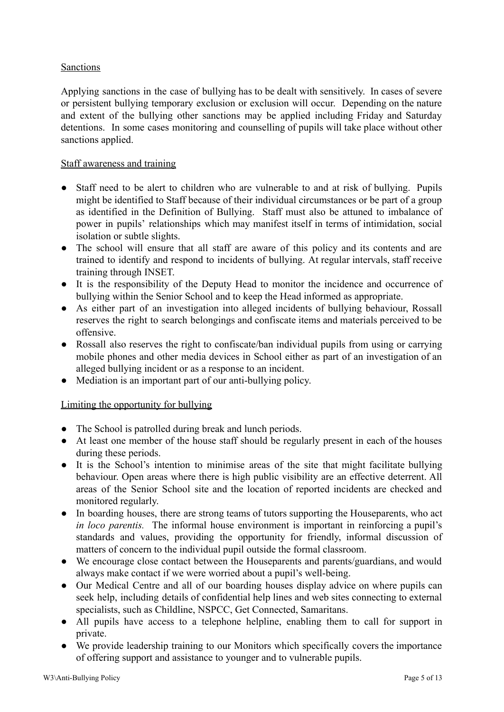# **Sanctions**

Applying sanctions in the case of bullying has to be dealt with sensitively. In cases of severe or persistent bullying temporary exclusion or exclusion will occur. Depending on the nature and extent of the bullying other sanctions may be applied including Friday and Saturday detentions. In some cases monitoring and counselling of pupils will take place without other sanctions applied.

# Staff awareness and training

- Staff need to be alert to children who are vulnerable to and at risk of bullying. Pupils might be identified to Staff because of their individual circumstances or be part of a group as identified in the Definition of Bullying. Staff must also be attuned to imbalance of power in pupils' relationships which may manifest itself in terms of intimidation, social isolation or subtle slights.
- The school will ensure that all staff are aware of this policy and its contents and are trained to identify and respond to incidents of bullying. At regular intervals, staff receive training through INSET.
- It is the responsibility of the Deputy Head to monitor the incidence and occurrence of bullying within the Senior School and to keep the Head informed as appropriate.
- As either part of an investigation into alleged incidents of bullying behaviour, Rossall reserves the right to search belongings and confiscate items and materials perceived to be offensive.
- Rossall also reserves the right to confiscate/ban individual pupils from using or carrying mobile phones and other media devices in School either as part of an investigation of an alleged bullying incident or as a response to an incident.
- Mediation is an important part of our anti-bullying policy.

### Limiting the opportunity for bullying

- The School is patrolled during break and lunch periods.
- At least one member of the house staff should be regularly present in each of the houses during these periods.
- It is the School's intention to minimise areas of the site that might facilitate bullying behaviour. Open areas where there is high public visibility are an effective deterrent. All areas of the Senior School site and the location of reported incidents are checked and monitored regularly.
- In boarding houses, there are strong teams of tutors supporting the Houseparents, who act *in loco parentis.* The informal house environment is important in reinforcing a pupil's standards and values, providing the opportunity for friendly, informal discussion of matters of concern to the individual pupil outside the formal classroom.
- We encourage close contact between the Houseparents and parents/guardians, and would always make contact if we were worried about a pupil's well-being.
- Our Medical Centre and all of our boarding houses display advice on where pupils can seek help, including details of confidential help lines and web sites connecting to external specialists, such as Childline, NSPCC, Get Connected, Samaritans.
- All pupils have access to a telephone helpline, enabling them to call for support in private.
- We provide leadership training to our Monitors which specifically covers the importance of offering support and assistance to younger and to vulnerable pupils.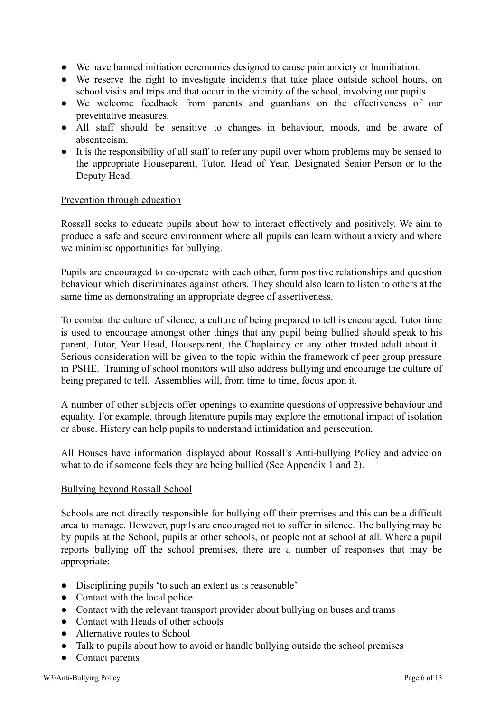- We have banned initiation ceremonies designed to cause pain anxiety or humiliation.
- We reserve the right to investigate incidents that take place outside school hours, on school visits and trips and that occur in the vicinity of the school, involving our pupils
- We welcome feedback from parents and guardians on the effectiveness of our preventative measures.
- All staff should be sensitive to changes in behaviour, moods, and be aware of absenteeism.
- It is the responsibility of all staff to refer any pupil over whom problems may be sensed to the appropriate Houseparent, Tutor, Head of Year, Designated Senior Person or to the Deputy Head.

### Prevention through education

Rossall seeks to educate pupils about how to interact effectively and positively. We aim to produce a safe and secure environment where all pupils can learn without anxiety and where we minimise opportunities for bullying.

Pupils are encouraged to co-operate with each other, form positive relationships and question behaviour which discriminates against others. They should also learn to listen to others at the same time as demonstrating an appropriate degree of assertiveness.

To combat the culture of silence, a culture of being prepared to tell is encouraged. Tutor time is used to encourage amongst other things that any pupil being bullied should speak to his parent, Tutor, Year Head, Houseparent, the Chaplaincy or any other trusted adult about it. Serious consideration will be given to the topic within the framework of peer group pressure in PSHE. Training of school monitors will also address bullying and encourage the culture of being prepared to tell. Assemblies will, from time to time, focus upon it.

A number of other subjects offer openings to examine questions of oppressive behaviour and equality. For example, through literature pupils may explore the emotional impact of isolation or abuse. History can help pupils to understand intimidation and persecution.

All Houses have information displayed about Rossall's Anti-bullying Policy and advice on what to do if someone feels they are being bullied (See Appendix 1 and 2).

### Bullying beyond Rossall School

Schools are not directly responsible for bullying off their premises and this can be a difficult area to manage. However, pupils are encouraged not to suffer in silence. The bullying may be by pupils at the School, pupils at other schools, or people not at school at all. Where a pupil reports bullying off the school premises, there are a number of responses that may be appropriate:

- Disciplining pupils 'to such an extent as is reasonable'
- Contact with the local police
- Contact with the relevant transport provider about bullying on buses and trams
- Contact with Heads of other schools
- Alternative routes to School
- Talk to pupils about how to avoid or handle bullying outside the school premises
- Contact parents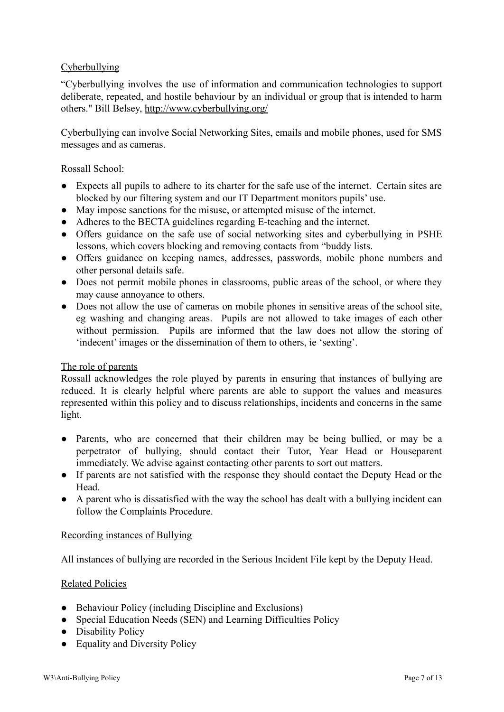# **Cyberbullying**

"Cyberbullying involves the use of information and communication technologies to support deliberate, repeated, and hostile behaviour by an individual or group that is intended to harm others." Bill Belsey, <http://www.cyberbullying.org/>

Cyberbullying can involve Social Networking Sites, emails and mobile phones, used for SMS messages and as cameras.

Rossall School:

- Expects all pupils to adhere to its charter for the safe use of the internet. Certain sites are blocked by our filtering system and our IT Department monitors pupils' use.
- May impose sanctions for the misuse, or attempted misuse of the internet.
- Adheres to the BECTA guidelines regarding E-teaching and the internet.
- Offers guidance on the safe use of social networking sites and cyberbullying in PSHE lessons, which covers blocking and removing contacts from "buddy lists.
- Offers guidance on keeping names, addresses, passwords, mobile phone numbers and other personal details safe.
- Does not permit mobile phones in classrooms, public areas of the school, or where they may cause annoyance to others.
- Does not allow the use of cameras on mobile phones in sensitive areas of the school site, eg washing and changing areas. Pupils are not allowed to take images of each other without permission. Pupils are informed that the law does not allow the storing of 'indecent' images or the dissemination of them to others, ie 'sexting'.

#### The role of parents

Rossall acknowledges the role played by parents in ensuring that instances of bullying are reduced. It is clearly helpful where parents are able to support the values and measures represented within this policy and to discuss relationships, incidents and concerns in the same light.

- Parents, who are concerned that their children may be being bullied, or may be a perpetrator of bullying, should contact their Tutor, Year Head or Houseparent immediately. We advise against contacting other parents to sort out matters.
- If parents are not satisfied with the response they should contact the Deputy Head or the Head.
- A parent who is dissatisfied with the way the school has dealt with a bullying incident can follow the Complaints Procedure.

#### Recording instances of Bullying

All instances of bullying are recorded in the Serious Incident File kept by the Deputy Head.

### Related Policies

- Behaviour Policy (including Discipline and Exclusions)
- Special Education Needs (SEN) and Learning Difficulties Policy
- Disability Policy
- Equality and Diversity Policy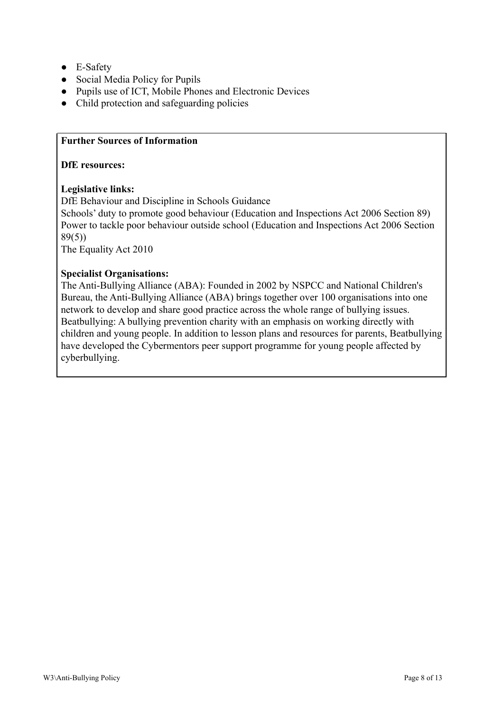- E-Safety
- Social Media Policy for Pupils
- Pupils use of ICT, Mobile Phones and Electronic Devices
- Child protection and safeguarding policies

## **Further Sources of Information**

#### **DfE resources:**

# **Legislative links:**

DfE Behaviour and Discipline in Schools Guidance

Schools' duty to promote good behaviour (Education and Inspections Act 2006 Section 89) Power to tackle poor behaviour outside school (Education and Inspections Act 2006 Section 89(5))

The Equality Act 2010

# **Specialist Organisations:**

The Anti-Bullying Alliance (ABA): Founded in 2002 by NSPCC and National Children's Bureau, the Anti-Bullying Alliance (ABA) brings together over 100 organisations into one network to develop and share good practice across the whole range of bullying issues. Beatbullying: A bullying prevention charity with an emphasis on working directly with children and young people. In addition to lesson plans and resources for parents, Beatbullying have developed the Cybermentors peer support programme for young people affected by cyberbullying.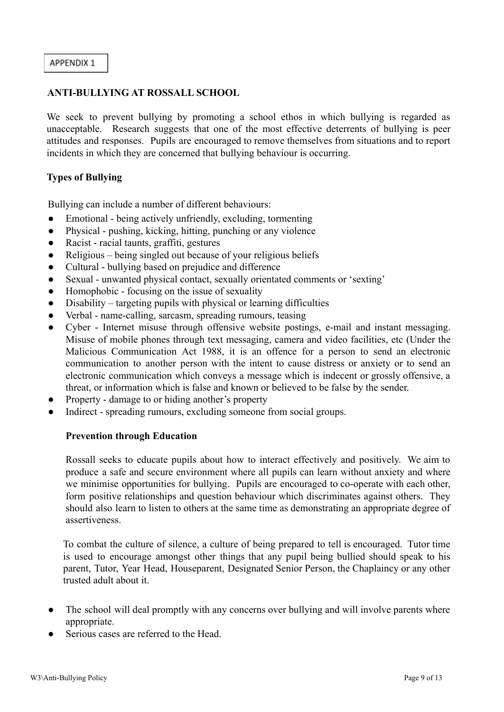## **ANTI-BULLYING AT ROSSALL SCHOOL**

We seek to prevent bullying by promoting a school ethos in which bullying is regarded as unacceptable. Research suggests that one of the most effective deterrents of bullying is peer attitudes and responses. Pupils are encouraged to remove themselves from situations and to report incidents in which they are concerned that bullying behaviour is occurring.

# **Types of Bullying**

Bullying can include a number of different behaviours:

- Emotional being actively unfriendly, excluding, tormenting
- Physical pushing, kicking, hitting, punching or any violence
- Racist racial taunts, graffiti, gestures
- Religious being singled out because of your religious beliefs
- Cultural bullying based on prejudice and difference
- Sexual unwanted physical contact, sexually orientated comments or 'sexting'
- Homophobic focusing on the issue of sexuality
- Disability targeting pupils with physical or learning difficulties
- Verbal name-calling, sarcasm, spreading rumours, teasing
- Cyber Internet misuse through offensive website postings, e-mail and instant messaging. Misuse of mobile phones through text messaging, camera and video facilities, etc (Under the Malicious Communication Act 1988, it is an offence for a person to send an electronic communication to another person with the intent to cause distress or anxiety or to send an electronic communication which conveys a message which is indecent or grossly offensive, a threat, or information which is false and known or believed to be false by the sender.
- Property damage to or hiding another's property
- Indirect spreading rumours, excluding someone from social groups.

### **Prevention through Education**

Rossall seeks to educate pupils about how to interact effectively and positively. We aim to produce a safe and secure environment where all pupils can learn without anxiety and where we minimise opportunities for bullying. Pupils are encouraged to co-operate with each other, form positive relationships and question behaviour which discriminates against others. They should also learn to listen to others at the same time as demonstrating an appropriate degree of assertiveness.

To combat the culture of silence, a culture of being prepared to tell is encouraged. Tutor time is used to encourage amongst other things that any pupil being bullied should speak to his parent, Tutor, Year Head, Houseparent, Designated Senior Person, the Chaplaincy or any other trusted adult about it.

- The school will deal promptly with any concerns over bullying and will involve parents where appropriate.
- Serious cases are referred to the Head.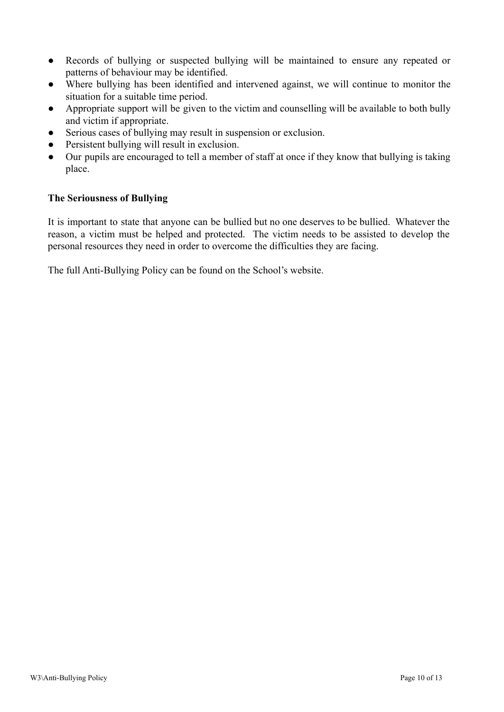- Records of bullying or suspected bullying will be maintained to ensure any repeated or patterns of behaviour may be identified.
- Where bullying has been identified and intervened against, we will continue to monitor the situation for a suitable time period.
- Appropriate support will be given to the victim and counselling will be available to both bully and victim if appropriate.
- Serious cases of bullying may result in suspension or exclusion.
- Persistent bullying will result in exclusion.
- Our pupils are encouraged to tell a member of staff at once if they know that bullying is taking place.

# **The Seriousness of Bullying**

It is important to state that anyone can be bullied but no one deserves to be bullied. Whatever the reason, a victim must be helped and protected. The victim needs to be assisted to develop the personal resources they need in order to overcome the difficulties they are facing.

The full Anti-Bullying Policy can be found on the School's website.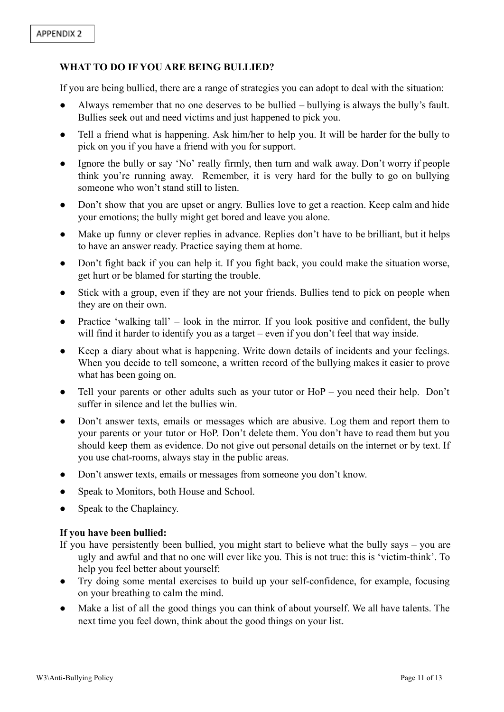# **WHAT TO DO IF YOU ARE BEING BULLIED?**

If you are being bullied, there are a range of strategies you can adopt to deal with the situation:

- Always remember that no one deserves to be bullied bullying is always the bully's fault. Bullies seek out and need victims and just happened to pick you.
- Tell a friend what is happening. Ask him/her to help you. It will be harder for the bully to pick on you if you have a friend with you for support.
- Ignore the bully or say 'No' really firmly, then turn and walk away. Don't worry if people think you're running away. Remember, it is very hard for the bully to go on bullying someone who won't stand still to listen.
- Don't show that you are upset or angry. Bullies love to get a reaction. Keep calm and hide your emotions; the bully might get bored and leave you alone.
- Make up funny or clever replies in advance. Replies don't have to be brilliant, but it helps to have an answer ready. Practice saying them at home.
- Don't fight back if you can help it. If you fight back, you could make the situation worse, get hurt or be blamed for starting the trouble.
- Stick with a group, even if they are not your friends. Bullies tend to pick on people when they are on their own.
- Practice 'walking tall'  $-$  look in the mirror. If you look positive and confident, the bully will find it harder to identify you as a target – even if you don't feel that way inside.
- Keep a diary about what is happening. Write down details of incidents and your feelings. When you decide to tell someone, a written record of the bullying makes it easier to prove what has been going on.
- Tell your parents or other adults such as your tutor or HoP you need their help. Don't suffer in silence and let the bullies win.
- Don't answer texts, emails or messages which are abusive. Log them and report them to your parents or your tutor or HoP. Don't delete them. You don't have to read them but you should keep them as evidence. Do not give out personal details on the internet or by text. If you use chat-rooms, always stay in the public areas.
- Don't answer texts, emails or messages from someone you don't know.
- Speak to Monitors, both House and School.
- Speak to the Chaplaincy.

### **If you have been bullied:**

- If you have persistently been bullied, you might start to believe what the bully says you are ugly and awful and that no one will ever like you. This is not true: this is 'victim-think'. To help you feel better about yourself:
- Try doing some mental exercises to build up your self-confidence, for example, focusing on your breathing to calm the mind.
- Make a list of all the good things you can think of about yourself. We all have talents. The next time you feel down, think about the good things on your list.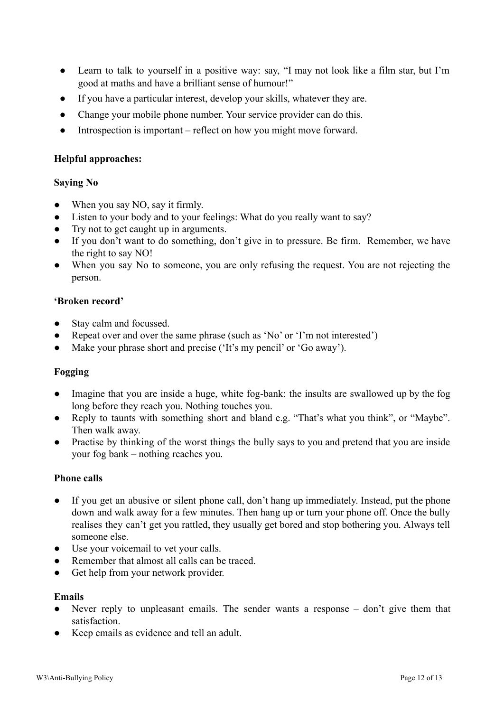- Learn to talk to yourself in a positive way: say, "I may not look like a film star, but I'm good at maths and have a brilliant sense of humour!"
- If you have a particular interest, develop your skills, whatever they are.
- Change your mobile phone number. Your service provider can do this.
- Introspection is important reflect on how you might move forward.

### **Helpful approaches:**

#### **Saying No**

- When you say NO, say it firmly.
- Listen to your body and to your feelings: What do you really want to say?
- Try not to get caught up in arguments.
- If you don't want to do something, don't give in to pressure. Be firm. Remember, we have the right to say NO!
- When you say No to someone, you are only refusing the request. You are not rejecting the person.

### **'Broken record'**

- Stay calm and focussed.
- Repeat over and over the same phrase (such as 'No' or 'I'm not interested')
- Make your phrase short and precise ('It's my pencil' or 'Go away').

### **Fogging**

- Imagine that you are inside a huge, white fog-bank: the insults are swallowed up by the fog long before they reach you. Nothing touches you.
- Reply to taunts with something short and bland e.g. "That's what you think", or "Maybe". Then walk away.
- Practise by thinking of the worst things the bully says to you and pretend that you are inside your fog bank – nothing reaches you.

### **Phone calls**

- If you get an abusive or silent phone call, don't hang up immediately. Instead, put the phone down and walk away for a few minutes. Then hang up or turn your phone off. Once the bully realises they can't get you rattled, they usually get bored and stop bothering you. Always tell someone else.
- Use your voicemail to vet your calls.
- Remember that almost all calls can be traced.
- Get help from your network provider.

## **Emails**

- Never reply to unpleasant emails. The sender wants a response  $-$  don't give them that satisfaction.
- Keep emails as evidence and tell an adult.